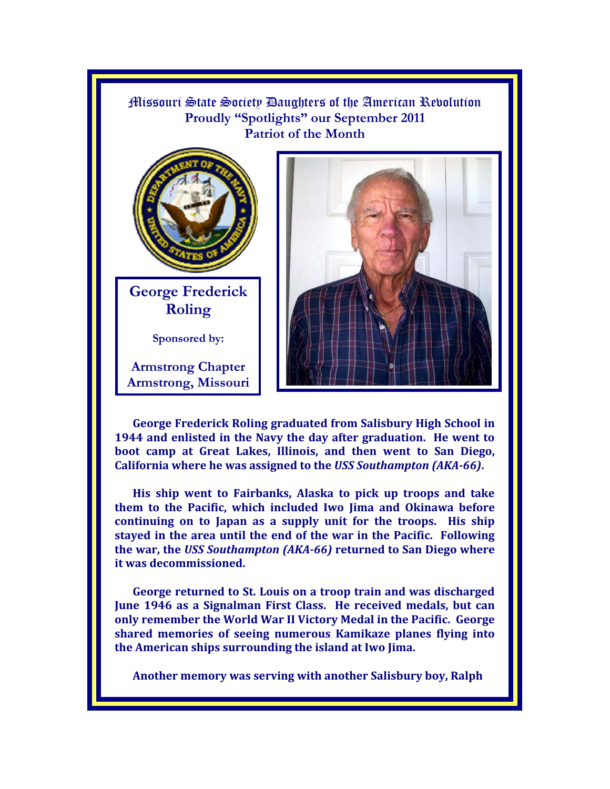

**George Frederick Roling graduated from Salisbury High School in 1944 and enlisted in the Navy the day after graduation. He went to boot camp at Great Lakes, Illinois, and then went to San Diego, California where he was assigned to the** *USS Southampton (AKA-66)***.** 

**His ship went to Fairbanks, Alaska to pick up troops and take them to the Pacific, which included Iwo Jima and Okinawa before continuing on to Japan as a supply unit for the troops. His ship stayed in the area until the end of the war in the Pacific. Following the war, the** *USS Southampton (AKA-66)* **returned to San Diego where it was decommissioned.** 

**George returned to St. Louis on a troop train and was discharged June 1946 as a Signalman First Class. He received medals, but can only remember the World War II Victory Medal in the Pacific. George shared memories of seeing numerous Kamikaze planes flying into the American ships surrounding the island at Iwo Jima.** 

**Another memory was serving with another Salisbury boy, Ralph**